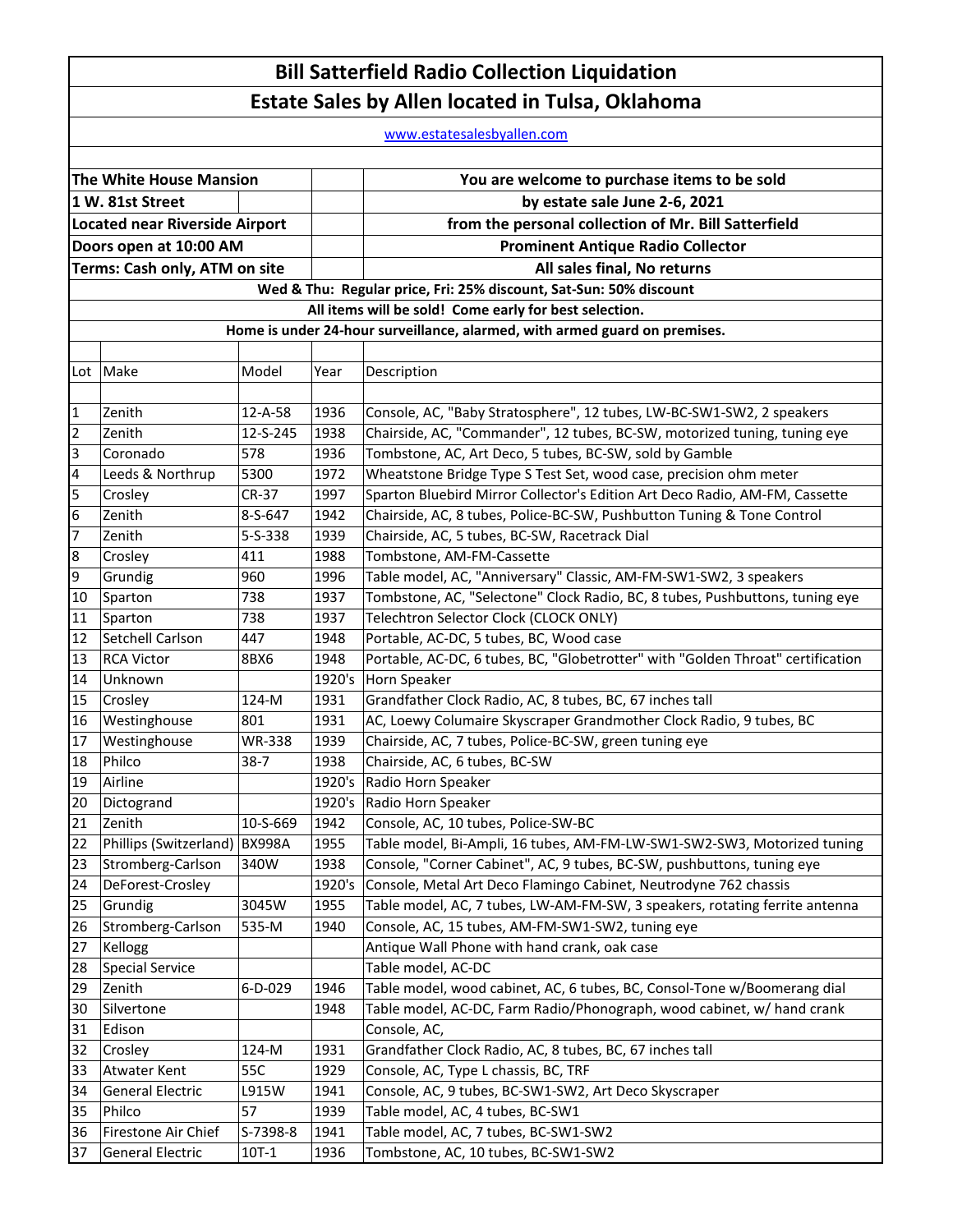## **Bill Satterfield Radio Collection Liquidation Estate Sales by Allen located in Tulsa, Oklahoma**

www.estatesalesbyallen.com

| The White House Mansion               |                                                                            |               |        | You are welcome to purchase items to be sold                                    |  |  |  |
|---------------------------------------|----------------------------------------------------------------------------|---------------|--------|---------------------------------------------------------------------------------|--|--|--|
| 1 W. 81st Street                      |                                                                            |               |        | by estate sale June 2-6, 2021                                                   |  |  |  |
| <b>Located near Riverside Airport</b> |                                                                            |               |        | from the personal collection of Mr. Bill Satterfield                            |  |  |  |
| Doors open at 10:00 AM                |                                                                            |               |        | <b>Prominent Antique Radio Collector</b>                                        |  |  |  |
|                                       | Terms: Cash only, ATM on site                                              |               |        | All sales final, No returns                                                     |  |  |  |
|                                       |                                                                            |               |        | Wed & Thu: Regular price, Fri: 25% discount, Sat-Sun: 50% discount              |  |  |  |
|                                       |                                                                            |               |        | All items will be sold! Come early for best selection.                          |  |  |  |
|                                       | Home is under 24-hour surveillance, alarmed, with armed guard on premises. |               |        |                                                                                 |  |  |  |
|                                       |                                                                            |               |        |                                                                                 |  |  |  |
| Lot                                   | Make                                                                       | Model         | Year   | Description                                                                     |  |  |  |
|                                       |                                                                            |               |        |                                                                                 |  |  |  |
| 1                                     | Zenith                                                                     | 12-A-58       | 1936   | Console, AC, "Baby Stratosphere", 12 tubes, LW-BC-SW1-SW2, 2 speakers           |  |  |  |
| $\overline{2}$                        | Zenith                                                                     | 12-S-245      | 1938   | Chairside, AC, "Commander", 12 tubes, BC-SW, motorized tuning, tuning eye       |  |  |  |
| 3                                     | Coronado                                                                   | 578           | 1936   | Tombstone, AC, Art Deco, 5 tubes, BC-SW, sold by Gamble                         |  |  |  |
| $\overline{\mathbf{4}}$               | Leeds & Northrup                                                           | 5300          | 1972   | Wheatstone Bridge Type S Test Set, wood case, precision ohm meter               |  |  |  |
| 5                                     | Crosley                                                                    | CR-37         | 1997   | Sparton Bluebird Mirror Collector's Edition Art Deco Radio, AM-FM, Cassette     |  |  |  |
| $\overline{6}$                        | Zenith                                                                     | 8-S-647       | 1942   | Chairside, AC, 8 tubes, Police-BC-SW, Pushbutton Tuning & Tone Control          |  |  |  |
| $\overline{7}$                        | Zenith                                                                     | 5-S-338       | 1939   | Chairside, AC, 5 tubes, BC-SW, Racetrack Dial                                   |  |  |  |
| 8                                     | Crosley                                                                    | 411           | 1988   | Tombstone, AM-FM-Cassette                                                       |  |  |  |
| 9                                     | Grundig                                                                    | 960           | 1996   | Table model, AC, "Anniversary" Classic, AM-FM-SW1-SW2, 3 speakers               |  |  |  |
| 10                                    | Sparton                                                                    | 738           | 1937   | Tombstone, AC, "Selectone" Clock Radio, BC, 8 tubes, Pushbuttons, tuning eye    |  |  |  |
| 11                                    | Sparton                                                                    | 738           | 1937   | Telechtron Selector Clock (CLOCK ONLY)                                          |  |  |  |
| 12                                    | Setchell Carlson                                                           | 447           | 1948   | Portable, AC-DC, 5 tubes, BC, Wood case                                         |  |  |  |
| 13                                    | <b>RCA Victor</b>                                                          | 8BX6          | 1948   | Portable, AC-DC, 6 tubes, BC, "Globetrotter" with "Golden Throat" certification |  |  |  |
| 14                                    | Unknown                                                                    |               | 1920's | Horn Speaker                                                                    |  |  |  |
| 15                                    | Crosley                                                                    | 124-M         | 1931   | Grandfather Clock Radio, AC, 8 tubes, BC, 67 inches tall                        |  |  |  |
| 16                                    | Westinghouse                                                               | 801           | 1931   | AC, Loewy Columaire Skyscraper Grandmother Clock Radio, 9 tubes, BC             |  |  |  |
| 17                                    | Westinghouse                                                               | <b>WR-338</b> | 1939   | Chairside, AC, 7 tubes, Police-BC-SW, green tuning eye                          |  |  |  |
| 18                                    | Philco                                                                     | $38-7$        | 1938   | Chairside, AC, 6 tubes, BC-SW                                                   |  |  |  |
| 19                                    | Airline                                                                    |               | 1920's | Radio Horn Speaker                                                              |  |  |  |
| 20                                    | Dictogrand                                                                 |               | 1920's | Radio Horn Speaker                                                              |  |  |  |
| 21                                    | Zenith                                                                     | 10-S-669      | 1942   | Console, AC, 10 tubes, Police-SW-BC                                             |  |  |  |
| 22                                    | Phillips (Switzerland) BX998A                                              |               | 1955   | Table model, Bi-Ampli, 16 tubes, AM-FM-LW-SW1-SW2-SW3, Motorized tuning         |  |  |  |
| 23                                    | Stromberg-Carlson                                                          | 340W          | 1938   | Console, "Corner Cabinet", AC, 9 tubes, BC-SW, pushbuttons, tuning eye          |  |  |  |
| 24                                    | DeForest-Crosley                                                           |               | 1920's | Console, Metal Art Deco Flamingo Cabinet, Neutrodyne 762 chassis                |  |  |  |
| 25                                    | Grundig                                                                    | 3045W         | 1955   | Table model, AC, 7 tubes, LW-AM-FM-SW, 3 speakers, rotating ferrite antenna     |  |  |  |
| 26                                    | Stromberg-Carlson                                                          | 535-M         | 1940   | Console, AC, 15 tubes, AM-FM-SW1-SW2, tuning eye                                |  |  |  |
| 27                                    | Kellogg                                                                    |               |        | Antique Wall Phone with hand crank, oak case                                    |  |  |  |
| 28                                    | <b>Special Service</b>                                                     |               |        | Table model, AC-DC                                                              |  |  |  |
| 29                                    | Zenith                                                                     | 6-D-029       | 1946   | Table model, wood cabinet, AC, 6 tubes, BC, Consol-Tone w/Boomerang dial        |  |  |  |
| 30                                    | Silvertone                                                                 |               | 1948   | Table model, AC-DC, Farm Radio/Phonograph, wood cabinet, w/ hand crank          |  |  |  |
| 31                                    | Edison                                                                     |               |        | Console, AC,                                                                    |  |  |  |
| 32                                    | Crosley                                                                    | 124-M         | 1931   | Grandfather Clock Radio, AC, 8 tubes, BC, 67 inches tall                        |  |  |  |
| 33                                    | Atwater Kent                                                               | 55C           | 1929   | Console, AC, Type L chassis, BC, TRF                                            |  |  |  |
| 34                                    | <b>General Electric</b>                                                    | L915W         | 1941   | Console, AC, 9 tubes, BC-SW1-SW2, Art Deco Skyscraper                           |  |  |  |
| 35                                    | Philco                                                                     | 57            | 1939   | Table model, AC, 4 tubes, BC-SW1                                                |  |  |  |
| 36                                    | Firestone Air Chief                                                        | S-7398-8      | 1941   | Table model, AC, 7 tubes, BC-SW1-SW2                                            |  |  |  |
| 37                                    | <b>General Electric</b>                                                    | $10T-1$       | 1936   | Tombstone, AC, 10 tubes, BC-SW1-SW2                                             |  |  |  |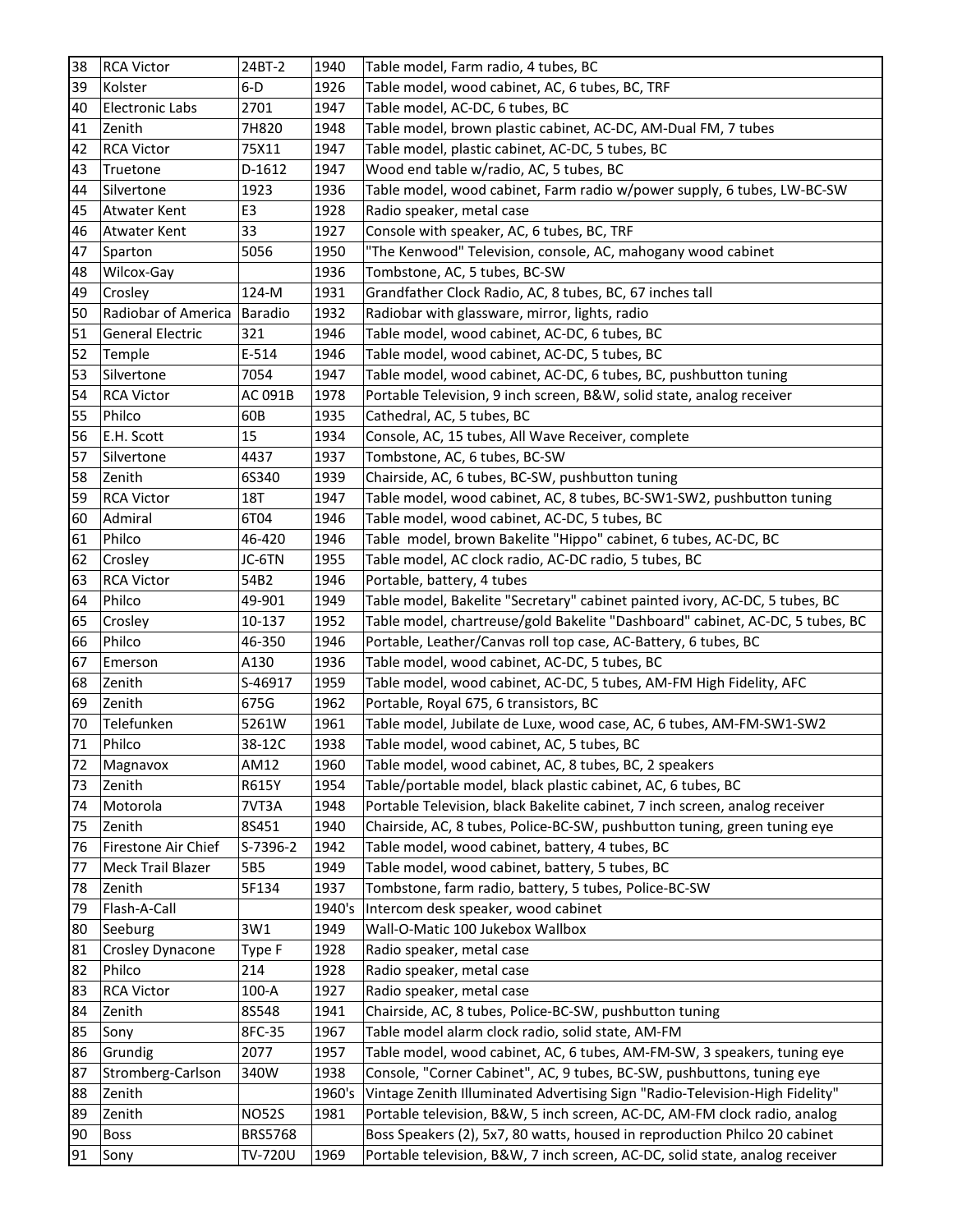| 38 | <b>RCA Victor</b>      | 24BT-2         | 1940   | Table model, Farm radio, 4 tubes, BC                                          |
|----|------------------------|----------------|--------|-------------------------------------------------------------------------------|
| 39 | Kolster                | $6-D$          | 1926   | Table model, wood cabinet, AC, 6 tubes, BC, TRF                               |
| 40 | <b>Electronic Labs</b> | 2701           | 1947   | Table model, AC-DC, 6 tubes, BC                                               |
| 41 | Zenith                 | 7H820          | 1948   | Table model, brown plastic cabinet, AC-DC, AM-Dual FM, 7 tubes                |
| 42 | <b>RCA Victor</b>      | 75X11          | 1947   | Table model, plastic cabinet, AC-DC, 5 tubes, BC                              |
| 43 | Truetone               | D-1612         | 1947   | Wood end table w/radio, AC, 5 tubes, BC                                       |
| 44 | Silvertone             | 1923           | 1936   | Table model, wood cabinet, Farm radio w/power supply, 6 tubes, LW-BC-SW       |
| 45 | Atwater Kent           | E <sub>3</sub> | 1928   | Radio speaker, metal case                                                     |
| 46 | Atwater Kent           | 33             | 1927   | Console with speaker, AC, 6 tubes, BC, TRF                                    |
| 47 | Sparton                | 5056           | 1950   | "The Kenwood" Television, console, AC, mahogany wood cabinet                  |
| 48 | Wilcox-Gay             |                | 1936   | Tombstone, AC, 5 tubes, BC-SW                                                 |
| 49 | Crosley                | 124-M          | 1931   | Grandfather Clock Radio, AC, 8 tubes, BC, 67 inches tall                      |
| 50 | Radiobar of America    | <b>Baradio</b> | 1932   | Radiobar with glassware, mirror, lights, radio                                |
| 51 | General Electric       | 321            | 1946   | Table model, wood cabinet, AC-DC, 6 tubes, BC                                 |
| 52 | Temple                 | E-514          | 1946   | Table model, wood cabinet, AC-DC, 5 tubes, BC                                 |
| 53 | Silvertone             | 7054           | 1947   | Table model, wood cabinet, AC-DC, 6 tubes, BC, pushbutton tuning              |
| 54 | <b>RCA Victor</b>      | AC 091B        | 1978   | Portable Television, 9 inch screen, B&W, solid state, analog receiver         |
| 55 | Philco                 | 60B            | 1935   | Cathedral, AC, 5 tubes, BC                                                    |
| 56 | E.H. Scott             | 15             | 1934   | Console, AC, 15 tubes, All Wave Receiver, complete                            |
| 57 | Silvertone             | 4437           | 1937   | Tombstone, AC, 6 tubes, BC-SW                                                 |
| 58 | Zenith                 | 6S340          | 1939   | Chairside, AC, 6 tubes, BC-SW, pushbutton tuning                              |
| 59 | <b>RCA Victor</b>      | <b>18T</b>     | 1947   | Table model, wood cabinet, AC, 8 tubes, BC-SW1-SW2, pushbutton tuning         |
| 60 | Admiral                | 6T04           | 1946   | Table model, wood cabinet, AC-DC, 5 tubes, BC                                 |
| 61 | Philco                 | 46-420         | 1946   | Table model, brown Bakelite "Hippo" cabinet, 6 tubes, AC-DC, BC               |
| 62 | Crosley                | JC-6TN         | 1955   | Table model, AC clock radio, AC-DC radio, 5 tubes, BC                         |
| 63 | <b>RCA Victor</b>      | 54B2           | 1946   | Portable, battery, 4 tubes                                                    |
| 64 | Philco                 | 49-901         | 1949   | Table model, Bakelite "Secretary" cabinet painted ivory, AC-DC, 5 tubes, BC   |
| 65 | Crosley                | 10-137         | 1952   | Table model, chartreuse/gold Bakelite "Dashboard" cabinet, AC-DC, 5 tubes, BC |
| 66 | Philco                 | 46-350         | 1946   | Portable, Leather/Canvas roll top case, AC-Battery, 6 tubes, BC               |
| 67 | Emerson                | A130           | 1936   | Table model, wood cabinet, AC-DC, 5 tubes, BC                                 |
| 68 | Zenith                 | S-46917        | 1959   | Table model, wood cabinet, AC-DC, 5 tubes, AM-FM High Fidelity, AFC           |
| 69 | Zenith                 | 675G           | 1962   | Portable, Royal 675, 6 transistors, BC                                        |
| 70 | Telefunken             | 5261W          | 1961   | Table model, Jubilate de Luxe, wood case, AC, 6 tubes, AM-FM-SW1-SW2          |
| 71 | Philco                 | 38-12C         | 1938   | Table model, wood cabinet, AC, 5 tubes, BC                                    |
| 72 | Magnavox               | AM12           | 1960   | Table model, wood cabinet, AC, 8 tubes, BC, 2 speakers                        |
| 73 | Zenith                 | R615Y          | 1954   | Table/portable model, black plastic cabinet, AC, 6 tubes, BC                  |
| 74 | Motorola               | 7VT3A          | 1948   | Portable Television, black Bakelite cabinet, 7 inch screen, analog receiver   |
| 75 | Zenith                 | 8S451          | 1940   | Chairside, AC, 8 tubes, Police-BC-SW, pushbutton tuning, green tuning eye     |
| 76 | Firestone Air Chief    | S-7396-2       | 1942   | Table model, wood cabinet, battery, 4 tubes, BC                               |
| 77 | Meck Trail Blazer      | 5B5            | 1949   | Table model, wood cabinet, battery, 5 tubes, BC                               |
| 78 | Zenith                 | 5F134          | 1937   | Tombstone, farm radio, battery, 5 tubes, Police-BC-SW                         |
| 79 | Flash-A-Call           |                | 1940's | Intercom desk speaker, wood cabinet                                           |
| 80 | Seeburg                | 3W1            | 1949   | Wall-O-Matic 100 Jukebox Wallbox                                              |
| 81 | Crosley Dynacone       | Type F         | 1928   | Radio speaker, metal case                                                     |
| 82 | Philco                 | 214            | 1928   | Radio speaker, metal case                                                     |
| 83 | <b>RCA Victor</b>      | $100-A$        | 1927   | Radio speaker, metal case                                                     |
| 84 | Zenith                 | 8S548          | 1941   | Chairside, AC, 8 tubes, Police-BC-SW, pushbutton tuning                       |
| 85 | Sony                   | 8FC-35         | 1967   | Table model alarm clock radio, solid state, AM-FM                             |
| 86 | Grundig                | 2077           | 1957   | Table model, wood cabinet, AC, 6 tubes, AM-FM-SW, 3 speakers, tuning eye      |
| 87 | Stromberg-Carlson      | 340W           | 1938   | Console, "Corner Cabinet", AC, 9 tubes, BC-SW, pushbuttons, tuning eye        |
| 88 | Zenith                 |                | 1960's | Vintage Zenith Illuminated Advertising Sign "Radio-Television-High Fidelity"  |
| 89 | Zenith                 | <b>NO52S</b>   | 1981   | Portable television, B&W, 5 inch screen, AC-DC, AM-FM clock radio, analog     |
| 90 | <b>Boss</b>            | <b>BRS5768</b> |        | Boss Speakers (2), 5x7, 80 watts, housed in reproduction Philco 20 cabinet    |
| 91 | Sony                   | TV-720U        | 1969   | Portable television, B&W, 7 inch screen, AC-DC, solid state, analog receiver  |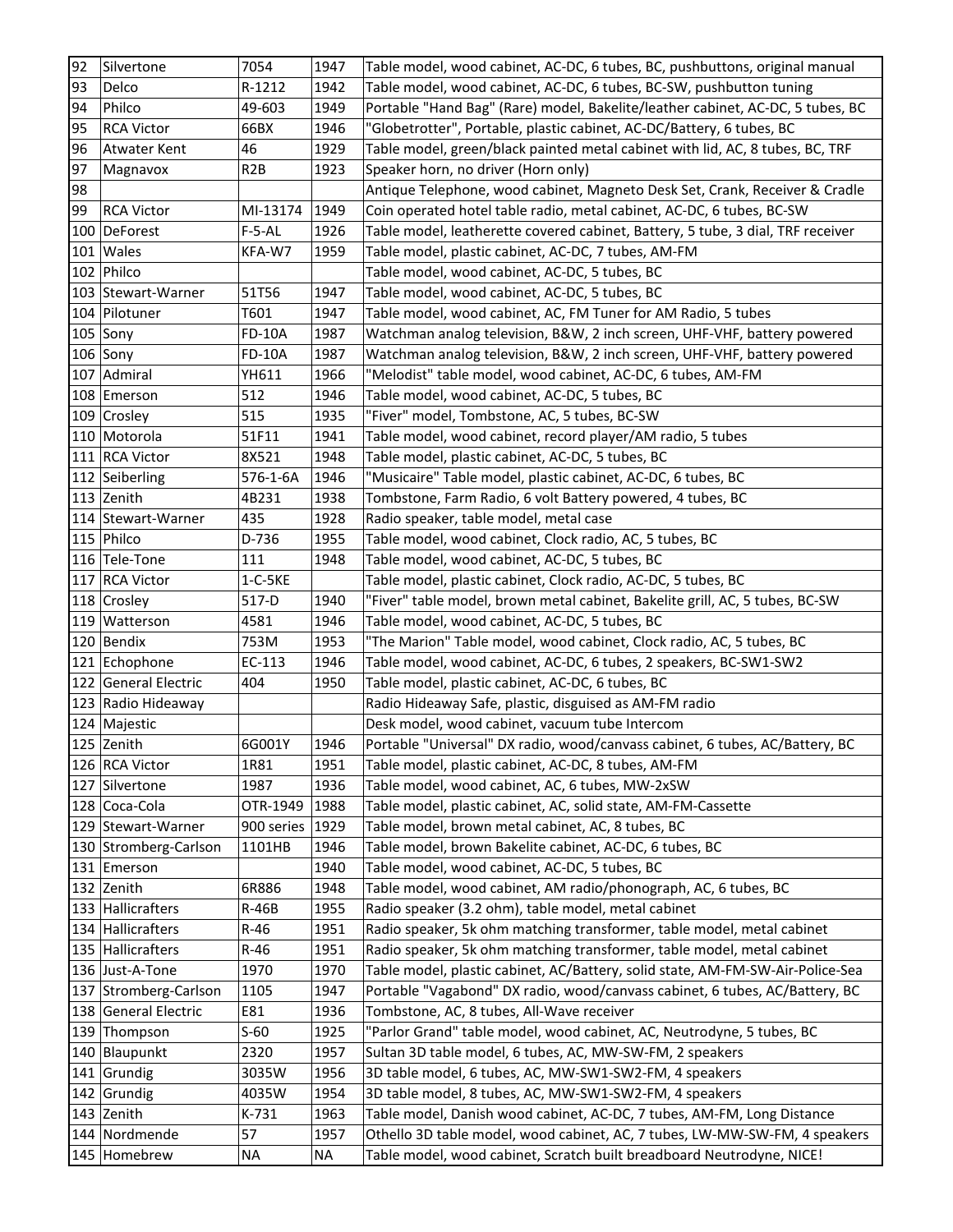| 92  | Silvertone            | 7054             | 1947      | Table model, wood cabinet, AC-DC, 6 tubes, BC, pushbuttons, original manual     |
|-----|-----------------------|------------------|-----------|---------------------------------------------------------------------------------|
| 93  | Delco                 | R-1212           | 1942      | Table model, wood cabinet, AC-DC, 6 tubes, BC-SW, pushbutton tuning             |
| 94  | Philco                | 49-603           | 1949      | Portable "Hand Bag" (Rare) model, Bakelite/leather cabinet, AC-DC, 5 tubes, BC  |
| 95  | <b>RCA Victor</b>     | 66BX             | 1946      | "Globetrotter", Portable, plastic cabinet, AC-DC/Battery, 6 tubes, BC           |
| 96  | <b>Atwater Kent</b>   | 46               | 1929      | Table model, green/black painted metal cabinet with lid, AC, 8 tubes, BC, TRF   |
| 97  | Magnavox              | R <sub>2</sub> B | 1923      | Speaker horn, no driver (Horn only)                                             |
| 98  |                       |                  |           | Antique Telephone, wood cabinet, Magneto Desk Set, Crank, Receiver & Cradle     |
| 99  | <b>RCA Victor</b>     | MI-13174         | 1949      | Coin operated hotel table radio, metal cabinet, AC-DC, 6 tubes, BC-SW           |
|     | 100 DeForest          | $F-5-AL$         | 1926      | Table model, leatherette covered cabinet, Battery, 5 tube, 3 dial, TRF receiver |
|     | $101$ Wales           | KFA-W7           | 1959      | Table model, plastic cabinet, AC-DC, 7 tubes, AM-FM                             |
|     | 102 Philco            |                  |           | Table model, wood cabinet, AC-DC, 5 tubes, BC                                   |
|     | 103 Stewart-Warner    | 51T56            | 1947      | Table model, wood cabinet, AC-DC, 5 tubes, BC                                   |
|     | 104 Pilotuner         | T601             | 1947      | Table model, wood cabinet, AC, FM Tuner for AM Radio, 5 tubes                   |
|     | $105$ Sony            | <b>FD-10A</b>    | 1987      | Watchman analog television, B&W, 2 inch screen, UHF-VHF, battery powered        |
|     | $106$ Sony            | <b>FD-10A</b>    | 1987      | Watchman analog television, B&W, 2 inch screen, UHF-VHF, battery powered        |
|     | 107   Admiral         | YH611            | 1966      | "Melodist" table model, wood cabinet, AC-DC, 6 tubes, AM-FM                     |
|     | 108 Emerson           | 512              | 1946      | Table model, wood cabinet, AC-DC, 5 tubes, BC                                   |
|     | 109 Crosley           | 515              | 1935      | "Fiver" model, Tombstone, AC, 5 tubes, BC-SW                                    |
|     | 110 Motorola          | 51F11            | 1941      | Table model, wood cabinet, record player/AM radio, 5 tubes                      |
|     | 111 RCA Victor        | 8X521            | 1948      | Table model, plastic cabinet, AC-DC, 5 tubes, BC                                |
|     | 112 Seiberling        | 576-1-6A         | 1946      | "Musicaire" Table model, plastic cabinet, AC-DC, 6 tubes, BC                    |
|     | 113 Zenith            | 4B231            | 1938      | Tombstone, Farm Radio, 6 volt Battery powered, 4 tubes, BC                      |
|     | 114 Stewart-Warner    | 435              | 1928      | Radio speaker, table model, metal case                                          |
|     | 115 Philco            | D-736            | 1955      | Table model, wood cabinet, Clock radio, AC, 5 tubes, BC                         |
|     | 116 Tele-Tone         | 111              | 1948      | Table model, wood cabinet, AC-DC, 5 tubes, BC                                   |
|     | 117 RCA Victor        | $1-C-5KE$        |           | Table model, plastic cabinet, Clock radio, AC-DC, 5 tubes, BC                   |
|     | 118 Crosley           | 517-D            | 1940      | "Fiver" table model, brown metal cabinet, Bakelite grill, AC, 5 tubes, BC-SW    |
|     | 119 Watterson         | 4581             | 1946      | Table model, wood cabinet, AC-DC, 5 tubes, BC                                   |
|     | 120 Bendix            | 753M             | 1953      | "The Marion" Table model, wood cabinet, Clock radio, AC, 5 tubes, BC            |
|     | 121 Echophone         | EC-113           | 1946      | Table model, wood cabinet, AC-DC, 6 tubes, 2 speakers, BC-SW1-SW2               |
|     | 122 General Electric  | 404              | 1950      | Table model, plastic cabinet, AC-DC, 6 tubes, BC                                |
|     | 123 Radio Hideaway    |                  |           | Radio Hideaway Safe, plastic, disguised as AM-FM radio                          |
|     | 124 Majestic          |                  |           | Desk model, wood cabinet, vacuum tube Intercom                                  |
|     | 125 Zenith            | 6G001Y           | 1946      | Portable "Universal" DX radio, wood/canvass cabinet, 6 tubes, AC/Battery, BC    |
|     | 126 RCA Victor        | 1R81             | 1951      | Table model, plastic cabinet, AC-DC, 8 tubes, AM-FM                             |
|     | 127 Silvertone        | 1987             | 1936      | Table model, wood cabinet, AC, 6 tubes, MW-2xSW                                 |
|     | 128 Coca-Cola         | OTR-1949         | 1988      | Table model, plastic cabinet, AC, solid state, AM-FM-Cassette                   |
|     | 129 Stewart-Warner    | 900 series 1929  |           | Table model, brown metal cabinet, AC, 8 tubes, BC                               |
|     | 130 Stromberg-Carlson | 1101HB           | 1946      | Table model, brown Bakelite cabinet, AC-DC, 6 tubes, BC                         |
|     | 131 Emerson           |                  | 1940      | Table model, wood cabinet, AC-DC, 5 tubes, BC                                   |
|     | 132 Zenith            | 6R886            | 1948      | Table model, wood cabinet, AM radio/phonograph, AC, 6 tubes, BC                 |
|     | 133 Hallicrafters     | <b>R-46B</b>     | 1955      | Radio speaker (3.2 ohm), table model, metal cabinet                             |
|     | 134 Hallicrafters     | $R-46$           | 1951      | Radio speaker, 5k ohm matching transformer, table model, metal cabinet          |
|     | 135 Hallicrafters     | $R-46$           | 1951      | Radio speaker, 5k ohm matching transformer, table model, metal cabinet          |
|     | 136 Just-A-Tone       | 1970             | 1970      | Table model, plastic cabinet, AC/Battery, solid state, AM-FM-SW-Air-Police-Sea  |
| 137 | Stromberg-Carlson     | 1105             | 1947      | Portable "Vagabond" DX radio, wood/canvass cabinet, 6 tubes, AC/Battery, BC     |
|     | 138 General Electric  | E81              | 1936      | Tombstone, AC, 8 tubes, All-Wave receiver                                       |
|     | 139 Thompson          | $S-60$           | 1925      | "Parlor Grand" table model, wood cabinet, AC, Neutrodyne, 5 tubes, BC           |
|     | 140 Blaupunkt         | 2320             | 1957      | Sultan 3D table model, 6 tubes, AC, MW-SW-FM, 2 speakers                        |
|     | 141 Grundig           | 3035W            | 1956      | 3D table model, 6 tubes, AC, MW-SW1-SW2-FM, 4 speakers                          |
| 142 | Grundig               | 4035W            | 1954      | 3D table model, 8 tubes, AC, MW-SW1-SW2-FM, 4 speakers                          |
|     | 143 Zenith            | K-731            | 1963      | Table model, Danish wood cabinet, AC-DC, 7 tubes, AM-FM, Long Distance          |
|     | 144 Nordmende         | 57               | 1957      | Othello 3D table model, wood cabinet, AC, 7 tubes, LW-MW-SW-FM, 4 speakers      |
|     | 145 Homebrew          | <b>NA</b>        | <b>NA</b> | Table model, wood cabinet, Scratch built breadboard Neutrodyne, NICE!           |